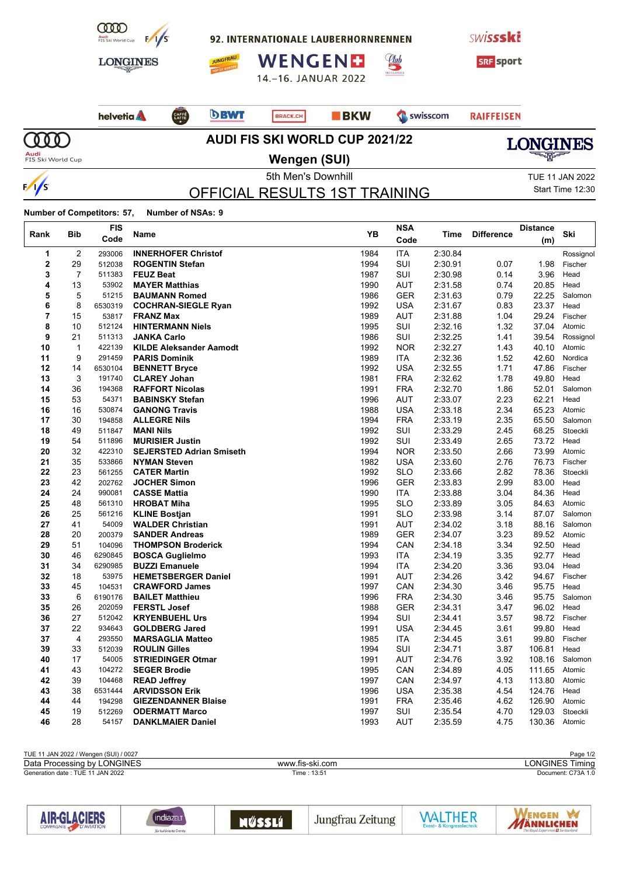

**Number of Competitors: 57, Number of NSAs: 9**

**FIS**

 $\Gamma$ 

|                | Bib            | <b>FIS</b> |                                 |           | <b>NSA</b> |         | <b>Difference</b> | <b>Distance</b> | Ski       |
|----------------|----------------|------------|---------------------------------|-----------|------------|---------|-------------------|-----------------|-----------|
| Rank           |                | Code       | Name                            | <b>YB</b> | Code       | Time    |                   | (m)             |           |
| 1              | $\overline{2}$ | 293006     | <b>INNERHOFER Christof</b>      | 1984      | <b>ITA</b> | 2:30.84 |                   |                 | Rossignol |
| $\mathbf 2$    | 29             | 512038     | <b>ROGENTIN Stefan</b>          | 1994      | SUI        | 2:30.91 | 0.07              | 1.98            | Fischer   |
| 3              | $\overline{7}$ | 511383     | <b>FEUZ Beat</b>                | 1987      | SUI        | 2:30.98 | 0.14              | 3.96            | Head      |
| 4              | 13             | 53902      | <b>MAYER Matthias</b>           | 1990      | <b>AUT</b> | 2:31.58 | 0.74              | 20.85           | Head      |
| 5              | 5              | 51215      | <b>BAUMANN Romed</b>            | 1986      | <b>GER</b> | 2:31.63 | 0.79              | 22.25           | Salomon   |
| 6              | 8              | 6530319    | <b>COCHRAN-SIEGLE Ryan</b>      | 1992      | <b>USA</b> | 2:31.67 | 0.83              | 23.37           | Head      |
| $\overline{7}$ | 15             | 53817      | <b>FRANZ Max</b>                | 1989      | <b>AUT</b> | 2:31.88 | 1.04              | 29.24           | Fischer   |
| 8              | 10             | 512124     | <b>HINTERMANN Niels</b>         | 1995      | <b>SUI</b> | 2:32.16 | 1.32              | 37.04           | Atomic    |
| 9              | 21             | 511313     | <b>JANKA Carlo</b>              | 1986      | SUI        | 2:32.25 | 1.41              | 39.54           | Rossignol |
| 10             | $\mathbf{1}$   | 422139     | <b>KILDE Aleksander Aamodt</b>  | 1992      | <b>NOR</b> | 2:32.27 | 1.43              | 40.10           | Atomic    |
| 11             | 9              | 291459     | <b>PARIS Dominik</b>            | 1989      | <b>ITA</b> | 2:32.36 | 1.52              | 42.60           | Nordica   |
| 12             | 14             | 6530104    | <b>BENNETT Bryce</b>            | 1992      | <b>USA</b> | 2:32.55 | 1.71              | 47.86           | Fischer   |
| 13             | 3              | 191740     | <b>CLAREY Johan</b>             | 1981      | <b>FRA</b> | 2:32.62 | 1.78              | 49.80           | Head      |
| 14             | 36             | 194368     | <b>RAFFORT Nicolas</b>          | 1991      | <b>FRA</b> | 2:32.70 | 1.86              | 52.01           | Salomon   |
| 15             | 53             | 54371      | <b>BABINSKY Stefan</b>          | 1996      | AUT        | 2:33.07 | 2.23              | 62.21           | Head      |
| 16             | 16             | 530874     | <b>GANONG Travis</b>            | 1988      | <b>USA</b> | 2:33.18 | 2.34              | 65.23           | Atomic    |
| 17             | 30             | 194858     | <b>ALLEGRE Nils</b>             | 1994      | <b>FRA</b> | 2:33.19 | 2.35              | 65.50           | Salomon   |
| 18             | 49             | 511847     | <b>MANI Nils</b>                | 1992      | SUI        | 2:33.29 | 2.45              | 68.25           | Stoeckli  |
| 19             | 54             | 511896     | <b>MURISIER Justin</b>          | 1992      | <b>SUI</b> | 2:33.49 | 2.65              | 73.72           | Head      |
| 20             | 32             | 422310     | <b>SEJERSTED Adrian Smiseth</b> | 1994      | <b>NOR</b> | 2:33.50 | 2.66              | 73.99           | Atomic    |
| 21             | 35             | 533866     | <b>NYMAN Steven</b>             | 1982      | <b>USA</b> | 2:33.60 | 2.76              | 76.73           | Fischer   |
| 22             | 23             | 561255     | <b>CATER Martin</b>             | 1992      | <b>SLO</b> | 2:33.66 | 2.82              | 78.36           | Stoeckli  |
| 23             | 42             | 202762     | <b>JOCHER Simon</b>             | 1996      | <b>GER</b> | 2:33.83 | 2.99              | 83.00           | Head      |
| 24             | 24             | 990081     | <b>CASSE Mattia</b>             | 1990      | ITA        | 2:33.88 | 3.04              | 84.36           | Head      |
| 25             | 48             | 561310     | <b>HROBAT Miha</b>              | 1995      | <b>SLO</b> | 2:33.89 | 3.05              | 84.63           | Atomic    |
| 26             | 25             | 561216     | <b>KLINE Bostjan</b>            | 1991      | <b>SLO</b> | 2:33.98 | 3.14              | 87.07           | Salomon   |
| 27             | 41             | 54009      | <b>WALDER Christian</b>         | 1991      | AUT        | 2:34.02 | 3.18              | 88.16           | Salomon   |
| 28             | 20             | 200379     | <b>SANDER Andreas</b>           | 1989      | <b>GER</b> | 2:34.07 | 3.23              | 89.52           | Atomic    |
| 29             | 51             | 104096     | <b>THOMPSON Broderick</b>       | 1994      | CAN        | 2:34.18 | 3.34              | 92.50           | Head      |
| 30             | 46             | 6290845    | <b>BOSCA Guglielmo</b>          | 1993      | <b>ITA</b> | 2.34.19 | 3.35              | 92.77           | Head      |
| 31             | 34             | 6290985    | <b>BUZZI Emanuele</b>           | 1994      | <b>ITA</b> | 2:34.20 | 3.36              | 93.04           | Head      |
| 32             | 18             | 53975      | <b>HEMETSBERGER Daniel</b>      | 1991      | <b>AUT</b> | 2:34.26 | 3.42              | 94.67           | Fischer   |
| 33             | 45             | 104531     | <b>CRAWFORD James</b>           | 1997      | CAN        | 2:34.30 | 3.46              | 95.75           | Head      |
| 33             | 6              | 6190176    | <b>BAILET Matthieu</b>          | 1996      | <b>FRA</b> | 2:34.30 | 3.46              | 95.75           | Salomon   |
| 35             | 26             | 202059     | <b>FERSTL Josef</b>             | 1988      | <b>GER</b> | 2:34.31 | 3.47              | 96.02           | Head      |
| 36             | 27             | 512042     | <b>KRYENBUEHL Urs</b>           | 1994      | SUI        | 2:34.41 | 3.57              | 98.72           | Fischer   |
| 37             | 22             | 934643     | <b>GOLDBERG Jared</b>           | 1991      | <b>USA</b> | 2:34.45 | 3.61              | 99.80           | Head      |
| 37             | $\overline{4}$ | 293550     | <b>MARSAGLIA Matteo</b>         | 1985      | <b>ITA</b> | 2:34.45 | 3.61              | 99.80           | Fischer   |
| 39             | 33             | 512039     | <b>ROULIN Gilles</b>            | 1994      | SUI        | 2:34.71 | 3.87              | 106.81          | Head      |
| 40             | 17             | 54005      | <b>STRIEDINGER Otmar</b>        | 1991      | AUT        | 2:34.76 | 3.92              | 108.16          | Salomon   |
| 41             | 43             | 104272     | <b>SEGER Brodie</b>             | 1995      | CAN        | 2:34.89 | 4.05              | 111.65          | Atomic    |
| 42             | 39             | 104468     | <b>READ Jeffrey</b>             | 1997      | CAN        | 2:34.97 | 4.13              | 113.80          | Atomic    |
| 43             | 38             | 6531444    | <b>ARVIDSSON Erik</b>           | 1996      | <b>USA</b> | 2:35.38 | 4.54              | 124.76          | Head      |
| 44             | 44             | 194298     | <b>GIEZENDANNER Blaise</b>      | 1991      | <b>FRA</b> | 2.35.46 | 4.62              | 126.90          | Atomic    |
| 45             | 19             | 512269     | <b>ODERMATT Marco</b>           | 1997      | SUI        | 2:35.54 | 4.70              | 129.03          | Stoeckli  |
| 46             | 28             | 54157      | <b>DANKLMAIER Daniel</b>        | 1993      | AUT        | 2:35.59 | 4.75              | 130.36          | Atomic    |

| TUE 11 JAN 2022 / Wengen (SUI) / 0027 |                 | Page 1/2           |
|---------------------------------------|-----------------|--------------------|
| Data Processing by LONGINES           | www.fis-ski.com | LONGINES Timina    |
| Generation date: TUE 11 JAN 2022      | Time: 13:51     | Document: C73A 1.0 |
|                                       |                 |                    |